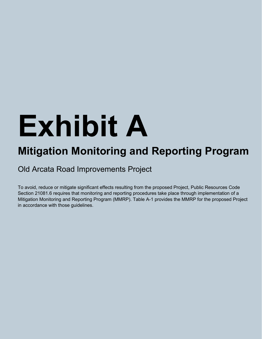## **Exhibit A**

## **Mitigation Monitoring and Reporting Program**

Old Arcata Road Improvements Project

To avoid, reduce or mitigate significant effects resulting from the proposed Project, Public Resources Code Section 21081.6 requires that monitoring and reporting procedures take place through implementation of a Mitigation Monitoring and Reporting Program (MMRP). Table A-1 provides the MMRP for the proposed Project in accordance with those guidelines.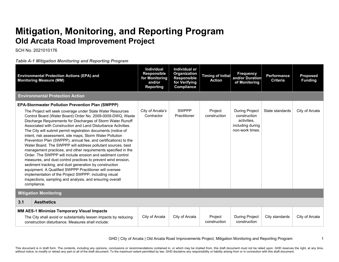## **Mitigation, Monitoring, and Reporting Program Old Arcata Road Improvement Project**

SCH No. 2021010176

*Table A-1 Mitigation Monitoring and Reporting Program*

|     | <b>Environmental Protection Actions (EPA) and</b><br><b>Monitoring Measure (MM)</b>                                                                                                                                                                                                                                                                                                                                                                                                                                                                                                                                                                                                                                                                                                                                                                                                                                                                                                                                                        | <b>Individual</b><br>Responsible<br>for Monitoring<br>and/or<br><b>Reporting</b> | Individual or<br>Organization<br><b>Responsible</b><br>for Verifying<br>Compliance | <b>Timing of Initial</b><br><b>Action</b> | <b>Frequency</b><br>and/or Duration<br>of Monitoring                                        | <b>Performance</b><br><b>Criteria</b> | <b>Proposed</b><br><b>Funding</b> |
|-----|--------------------------------------------------------------------------------------------------------------------------------------------------------------------------------------------------------------------------------------------------------------------------------------------------------------------------------------------------------------------------------------------------------------------------------------------------------------------------------------------------------------------------------------------------------------------------------------------------------------------------------------------------------------------------------------------------------------------------------------------------------------------------------------------------------------------------------------------------------------------------------------------------------------------------------------------------------------------------------------------------------------------------------------------|----------------------------------------------------------------------------------|------------------------------------------------------------------------------------|-------------------------------------------|---------------------------------------------------------------------------------------------|---------------------------------------|-----------------------------------|
|     | <b>Environmental Protection Action</b>                                                                                                                                                                                                                                                                                                                                                                                                                                                                                                                                                                                                                                                                                                                                                                                                                                                                                                                                                                                                     |                                                                                  |                                                                                    |                                           |                                                                                             |                                       |                                   |
|     | <b>EPA-Stormwater Pollution Prevention Plan (SWPPP)</b><br>The Project will seek coverage under State Water Resources<br>Control Board (Water Board) Order No. 2009-0009-DWQ, Waste<br>Discharge Requirements for Discharges of Storm Water Runoff<br>Associated with Construction and Land Disturbance Activities<br>The City will submit permit registration documents (notice of<br>intent, risk assessment, site maps, Storm Water Pollution<br>Prevention Plan (SWPPP), annual fee, and certifications) to the<br>Water Board. The SWPPP will address pollutant sources, best<br>management practices, and other requirements specified in the<br>Order. The SWPPP will include erosion and sediment control<br>measures, and dust control practices to prevent wind erosion,<br>sediment tracking, and dust generation by construction<br>equipment. A Qualified SWPPP Practitioner will oversee<br>implementation of the Project SWPPP, including visual<br>inspections, sampling and analysis, and ensuring overall<br>compliance. | City of Arcata's<br>Contractor                                                   | <b>SWPPP</b><br>Practitioner                                                       | Project<br>construction                   | <b>During Project</b><br>construction<br>activities.<br>including during<br>non-work times. | State standards                       | City of Arcata                    |
|     | <b>Mitigation Monitoring</b>                                                                                                                                                                                                                                                                                                                                                                                                                                                                                                                                                                                                                                                                                                                                                                                                                                                                                                                                                                                                               |                                                                                  |                                                                                    |                                           |                                                                                             |                                       |                                   |
| 3.1 | <b>Aesthetics</b>                                                                                                                                                                                                                                                                                                                                                                                                                                                                                                                                                                                                                                                                                                                                                                                                                                                                                                                                                                                                                          |                                                                                  |                                                                                    |                                           |                                                                                             |                                       |                                   |
|     | <b>MM AES-1 Minimize Temporary Visual Impacts</b><br>The City shall avoid or substantially lessen impacts by reducing<br>construction disturbance. Measures shall include:                                                                                                                                                                                                                                                                                                                                                                                                                                                                                                                                                                                                                                                                                                                                                                                                                                                                 | City of Arcata                                                                   | City of Arcata                                                                     | Project<br>construction                   | <b>During Project</b><br>construction                                                       | City standards                        | City of Arcata                    |

GHD | City of Arcata | Old Arcata Road Improvements Project, Mitigation Monitoring and Reporting Program 1

This document is in draft form. The contents, including any opinions, conclusions or recommendations contained in, or which may be implied from, this draft document must not be relied upon. GHD reserves the right, at any t without notice, to modify or retract any part or all of the draft document. To the maximum extent permitted by law, GHD disclaims any responsibility or liability arising from or in connection with this draft document.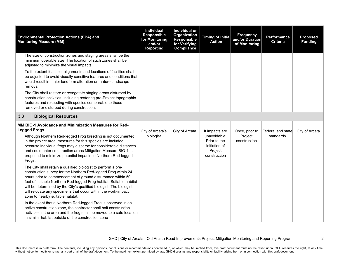|                               | <b>Environmental Protection Actions (EPA) and</b><br><b>Monitoring Measure (MM)</b>                                                                                                                                                                                                                                                                                                                                                                                                                                                                                                                                                                                                                                                                                                                                                                                                                                                                                                                                                                                                                                    | <b>Individual</b><br><b>Responsible</b><br>for Monitoring<br>and/or<br><b>Reporting</b> | Individual or<br>Organization<br><b>Responsible</b><br>for Verifying<br><b>Compliance</b> | <b>Timing of Initial</b><br><b>Action</b>                                                  | <b>Frequency</b><br>and/or Duration<br>of Monitoring | <b>Performance</b><br><b>Criteria</b> | <b>Proposed</b><br><b>Funding</b> |
|-------------------------------|------------------------------------------------------------------------------------------------------------------------------------------------------------------------------------------------------------------------------------------------------------------------------------------------------------------------------------------------------------------------------------------------------------------------------------------------------------------------------------------------------------------------------------------------------------------------------------------------------------------------------------------------------------------------------------------------------------------------------------------------------------------------------------------------------------------------------------------------------------------------------------------------------------------------------------------------------------------------------------------------------------------------------------------------------------------------------------------------------------------------|-----------------------------------------------------------------------------------------|-------------------------------------------------------------------------------------------|--------------------------------------------------------------------------------------------|------------------------------------------------------|---------------------------------------|-----------------------------------|
|                               | The size of construction zones and staging areas shall be the<br>minimum operable size. The location of such zones shall be<br>adjusted to minimize the visual impacts.                                                                                                                                                                                                                                                                                                                                                                                                                                                                                                                                                                                                                                                                                                                                                                                                                                                                                                                                                |                                                                                         |                                                                                           |                                                                                            |                                                      |                                       |                                   |
|                               | To the extent feasible, alignments and locations of facilities shall<br>be adjusted to avoid visually sensitive features and conditions that<br>would result in major landform alteration or mature landscape<br>removal.                                                                                                                                                                                                                                                                                                                                                                                                                                                                                                                                                                                                                                                                                                                                                                                                                                                                                              |                                                                                         |                                                                                           |                                                                                            |                                                      |                                       |                                   |
|                               | The City shall restore or revegetate staging areas disturbed by<br>construction activities, including restoring pre-Project topographic<br>features and reseeding with species comparable to those<br>removed or disturbed during construction.                                                                                                                                                                                                                                                                                                                                                                                                                                                                                                                                                                                                                                                                                                                                                                                                                                                                        |                                                                                         |                                                                                           |                                                                                            |                                                      |                                       |                                   |
| 3.3                           | <b>Biological Resources</b>                                                                                                                                                                                                                                                                                                                                                                                                                                                                                                                                                                                                                                                                                                                                                                                                                                                                                                                                                                                                                                                                                            |                                                                                         |                                                                                           |                                                                                            |                                                      |                                       |                                   |
| <b>Legged Frogs</b><br>Frogs: | MM BIO-1 Avoidance and Minimization Measures for Red-<br>Although Northern Red-legged Frog breeding is not documented<br>in the project area, measures for this species are included<br>because individual frogs may disperse for considerable distances<br>and could enter construction areas Mitigation Measure BIO-1 is<br>proposed to minimize potential impacts to Northern Red-legged<br>The City shall retain a qualified biologist to perform a pre-<br>construction survey for the Northern Red-legged Frog within 24<br>hours prior to commencement of ground disturbance within 50<br>feet of suitable Northern Red-legged Frog habitat. Suitable habitat<br>will be determined by the City's qualified biologist. The biologist<br>will relocate any specimens that occur within the work-impact<br>zone to nearby suitable habitat.<br>In the event that a Northern Red-legged Frog is observed in an<br>active construction zone, the contractor shall halt construction<br>activities in the area and the frog shall be moved to a safe location<br>in similar habitat outside of the construction zone | City of Arcata's<br>biologist                                                           | City of Arcata                                                                            | If impacts are<br>unavoidable:<br>Prior to the<br>initiation of<br>Project<br>construction | Once, prior to<br>Project<br>construction            | Federal and state<br>standards        | City of Arcata                    |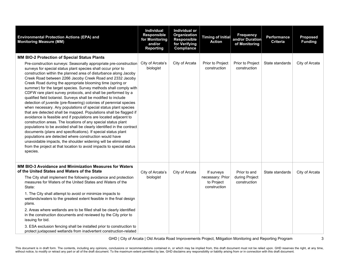| <b>Environmental Protection Actions (EPA) and</b><br><b>Monitoring Measure (MM)</b>                                                                                                                                                                                                                                                                                                                                                                                                                                                                                                                                                                                                                                                                                                                                                                                                                                                                                                                                                                                                                                                                                                                                                                                                                    | <b>Individual</b><br><b>Responsible</b><br>for Monitoring<br>and/or<br><b>Reporting</b> | Individual or<br>Organization<br><b>Responsible</b><br>for Verifying<br>Compliance | <b>Timing of Initial</b><br><b>Action</b>                    | <b>Frequency</b><br>and/or Duration<br>of Monitoring | Performance<br><b>Criteria</b> | <b>Proposed</b><br><b>Funding</b> |
|--------------------------------------------------------------------------------------------------------------------------------------------------------------------------------------------------------------------------------------------------------------------------------------------------------------------------------------------------------------------------------------------------------------------------------------------------------------------------------------------------------------------------------------------------------------------------------------------------------------------------------------------------------------------------------------------------------------------------------------------------------------------------------------------------------------------------------------------------------------------------------------------------------------------------------------------------------------------------------------------------------------------------------------------------------------------------------------------------------------------------------------------------------------------------------------------------------------------------------------------------------------------------------------------------------|-----------------------------------------------------------------------------------------|------------------------------------------------------------------------------------|--------------------------------------------------------------|------------------------------------------------------|--------------------------------|-----------------------------------|
| MM BIO-2 Protection of Special Status Plants<br>Pre-construction surveys: Seasonally appropriate pre-construction<br>surveys for special status plant species shall occur prior to<br>construction within the planned area of disturbance along Jacoby<br>Creek Road between 2266 Jacoby Creek Road and 2332 Jacoby<br>Creek Road during the appropriate blooming time (spring or<br>summer) for the target species. Survey methods shall comply with<br>CDFW rare plant survey protocols, and shall be performed by a<br>qualified field botanist. Surveys shall be modified to include<br>detection of juvenile (pre-flowering) colonies of perennial species<br>when necessary. Any populations of special status plant species<br>that are detected shall be mapped. Populations shall be flagged if<br>avoidance is feasible and if populations are located adjacent to<br>construction areas. The locations of any special status plant<br>populations to be avoided shall be clearly identified in the contract<br>documents (plans and specifications). If special status plant<br>populations are detected where construction would have<br>unavoidable impacts, the shoulder widening will be eliminated<br>from the project at that location to avoid impacts to special status<br>species. | City of Arcata's<br>biologist                                                           | City of Arcata                                                                     | Prior to Project<br>construction                             | Prior to Project<br>construction                     | State standards                | City of Arcata                    |
| MM BIO-3 Avoidance and Minimization Measures for Waters<br>of the United States and Waters of the State<br>The City shall implement the following avoidance and protection<br>measures for Waters of the United States and Waters of the<br>State:<br>1. The City shall attempt to avoid or minimize impacts to<br>wetlands/waters to the greatest extent feasible in the final design<br>plans.<br>2. Areas where wetlands are to be filled shall be clearly identified<br>in the construction documents and reviewed by the City prior to<br>issuing for bid.<br>3. ESA exclusion fencing shall be installed prior to construction to<br>protect juxtaposed wetlands from inadvertent construction-related                                                                                                                                                                                                                                                                                                                                                                                                                                                                                                                                                                                           | City of Arcata's<br>biologist                                                           | City of Arcata                                                                     | If surveys<br>necessary: Prior<br>to Project<br>construction | Prior to and<br>during Project<br>construction       | State standards                | City of Arcata                    |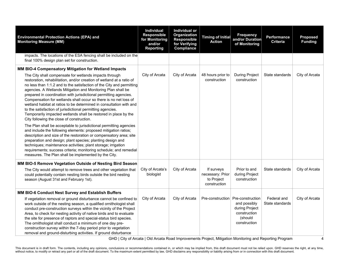| <b>Environmental Protection Actions (EPA) and</b><br><b>Monitoring Measure (MM)</b>                                                                                                                                                                                                                                                                                                                                                                                                                                                                                                                                                                                                                                                                                                                                                                                                   | <b>Individual</b><br><b>Responsible</b><br>for Monitoring<br>and/or<br><b>Reporting</b> | Individual or<br><b>Organization</b><br><b>Responsible</b><br>for Verifying<br>Compliance | <b>Timing of Initial</b><br><b>Action</b>                    | <b>Frequency</b><br>and/or Duration<br>of Monitoring                                          | Performance<br><b>Criteria</b> | <b>Proposed</b><br><b>Funding</b> |
|---------------------------------------------------------------------------------------------------------------------------------------------------------------------------------------------------------------------------------------------------------------------------------------------------------------------------------------------------------------------------------------------------------------------------------------------------------------------------------------------------------------------------------------------------------------------------------------------------------------------------------------------------------------------------------------------------------------------------------------------------------------------------------------------------------------------------------------------------------------------------------------|-----------------------------------------------------------------------------------------|-------------------------------------------------------------------------------------------|--------------------------------------------------------------|-----------------------------------------------------------------------------------------------|--------------------------------|-----------------------------------|
| impacts. The locations of the ESA fencing shall be included on the<br>final 100% design plan set for construction.                                                                                                                                                                                                                                                                                                                                                                                                                                                                                                                                                                                                                                                                                                                                                                    |                                                                                         |                                                                                           |                                                              |                                                                                               |                                |                                   |
| MM BIO-4 Compensatory Mitigation for Wetland Impacts                                                                                                                                                                                                                                                                                                                                                                                                                                                                                                                                                                                                                                                                                                                                                                                                                                  |                                                                                         |                                                                                           |                                                              |                                                                                               |                                |                                   |
| The City shall compensate for wetlands impacts through<br>restoration, rehabilitation, and/or creation of wetland at a ratio of<br>no less than 1:1.2 and to the satisfaction of the City and permitting<br>agencies. A Wetlands Mitigation and Monitoring Plan shall be<br>prepared in coordination with jurisdictional permitting agencies.<br>Compensation for wetlands shall occur so there is no net loss of<br>wetland habitat at ratios to be determined in consultation with and<br>to the satisfaction of jurisdictional permitting agencies.<br>Temporarily impacted wetlands shall be restored in place by the<br>City following the close of construction.<br>The Plan shall be acceptable to jurisdictional permitting agencies<br>and include the following elements: proposed mitigation ratios;<br>description and size of the restoration or compensatory area; site | City of Arcata                                                                          | City of Arcata                                                                            | 48 hours prior to<br>construction                            | <b>During Project</b><br>construction                                                         | State standards                | City of Arcata                    |
| preparation and design; plant species; planting design and<br>techniques; maintenance activities; plant storage; irrigation<br>requirements; success criteria; monitoring schedule; and remedial<br>measures. The Plan shall be implemented by the City.                                                                                                                                                                                                                                                                                                                                                                                                                                                                                                                                                                                                                              |                                                                                         |                                                                                           |                                                              |                                                                                               |                                |                                   |
| MM BIO-5 Remove Vegetation Outside of Nesting Bird Season                                                                                                                                                                                                                                                                                                                                                                                                                                                                                                                                                                                                                                                                                                                                                                                                                             |                                                                                         |                                                                                           |                                                              |                                                                                               |                                |                                   |
| The City would attempt to remove trees and other vegetation that<br>could potentially contain nesting birds outside the bird nesting<br>season (August 31st and February 1st).                                                                                                                                                                                                                                                                                                                                                                                                                                                                                                                                                                                                                                                                                                        | City of Arcata's<br>biologist                                                           | City of Arcata                                                                            | If surveys<br>necessary: Prior<br>to Project<br>construction | Prior to and<br>during Project<br>construction                                                | State standards                | City of Arcata                    |
| MM BIO-6 Conduct Nest Survey and Establish Buffers                                                                                                                                                                                                                                                                                                                                                                                                                                                                                                                                                                                                                                                                                                                                                                                                                                    |                                                                                         |                                                                                           |                                                              |                                                                                               |                                |                                   |
| If vegetation removal or ground disturbance cannot be confined to<br>work outside of the nesting season, a qualified ornithologist shall<br>conduct pre-construction surveys within the vicinity of the Project<br>Area, to check for nesting activity of native birds and to evaluate<br>the site for presence of raptors and special-status bird species.<br>The ornithologist shall conduct a minimum of one day pre-<br>construction survey within the 7-day period prior to vegetation<br>removal and ground-disturbing activities. If ground disturbance                                                                                                                                                                                                                                                                                                                        | City of Arcata                                                                          | City of Arcata                                                                            | Pre-construction                                             | Pre-construction<br>and possibly<br>during Project<br>construction<br>(should<br>construction | Federal and<br>State standards | City of Arcata                    |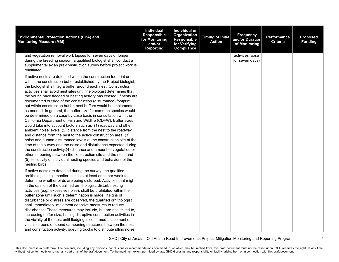| <b>Environmental Protection Actions (EPA) and</b><br><b>Monitoring Measure (MM)</b>                                                                                                                                                                                                                                                                                                                                                                                                                                                                                                                                                                                                                                                                                                                                                                                                                                                                                                                     | <b>Individual</b><br><b>Responsible</b><br>for Monitoring<br>and/or<br><b>Reporting</b> | Individual or<br>Organization<br><b>Responsible</b><br>for Verifying<br>Compliance | <b>Timing of Initial</b><br><b>Action</b> | <b>Frequency</b><br>and/or Duration<br>of Monitoring | Performance<br><b>Criteria</b> | <b>Proposed</b><br><b>Funding</b> |
|---------------------------------------------------------------------------------------------------------------------------------------------------------------------------------------------------------------------------------------------------------------------------------------------------------------------------------------------------------------------------------------------------------------------------------------------------------------------------------------------------------------------------------------------------------------------------------------------------------------------------------------------------------------------------------------------------------------------------------------------------------------------------------------------------------------------------------------------------------------------------------------------------------------------------------------------------------------------------------------------------------|-----------------------------------------------------------------------------------------|------------------------------------------------------------------------------------|-------------------------------------------|------------------------------------------------------|--------------------------------|-----------------------------------|
| and vegetation removal work lapses for seven days or longer<br>during the breeding season, a qualified biologist shall conduct a<br>supplemental avian pre-construction survey before project work is<br>reinitiated.<br>If active nests are detected within the construction footprint or<br>within the construction buffer established by the Project biologist,<br>the biologist shall flag a buffer around each nest. Construction<br>activities shall avoid nest sites until the biologist determines that<br>the young have fledged or nesting activity has ceased. If nests are<br>documented outside of the construction (disturbance) footprint,<br>but within construction buffer, nest buffers would be implemented<br>as needed. In general, the buffer size for common species would<br>be determined on a case-by-case basis in consultation with the<br>California Department of Fish and Wildlife (CDFW). Buffer sizes<br>would take into account factors such as (1) roadway and other |                                                                                         |                                                                                    |                                           | activities lapse<br>for seven days)                  |                                |                                   |
| ambient noise levels, (2) distance from the nest to the roadway<br>and distance from the nest to the active construction area, (3)<br>noise and human disturbance levels at the construction site at the<br>time of the survey and the noise and disturbance expected during<br>the construction activity;(4) distance and amount of vegetation or<br>other screening between the construction site and the nest; and<br>(5) sensitivity of individual nesting species and behaviors of the<br>nesting birds.                                                                                                                                                                                                                                                                                                                                                                                                                                                                                           |                                                                                         |                                                                                    |                                           |                                                      |                                |                                   |
| If active nests are detected during the survey, the qualified<br>ornithologist shall monitor all nests at least once per week to<br>determine whether birds are being disturbed. Activities that might,<br>in the opinion of the qualified ornithologist, disturb nesting<br>activities (e.g., excessive noise), shall be prohibited within the<br>buffer zone until such a determination is made. If signs of<br>disturbance or distress are observed, the qualified ornithologist<br>shall immediately implement adaptive measures to reduce<br>disturbance. These measures may include, but are not limited to,<br>increasing buffer size, halting disruptive construction activities in<br>the vicinity of the nest until fledging is confirmed, placement of<br>visual screens or sound dampening structures between the nest<br>and construction activity, queuing trucks to distribute idling noise,                                                                                             |                                                                                         |                                                                                    |                                           |                                                      |                                |                                   |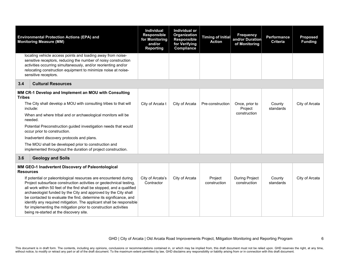|                  | <b>Environmental Protection Actions (EPA) and</b><br><b>Monitoring Measure (MM)</b>                                                                                                                                                                                                                                                                                                                                                                                                                                                              | <b>Individual</b><br><b>Responsible</b><br>for Monitoring<br>and/or<br><b>Reporting</b> | <b>Individual or</b><br>Organization<br><b>Responsible</b><br>for Verifying<br>Compliance | <b>Timing of Initial</b><br><b>Action</b> | <b>Frequency</b><br>and/or Duration<br>of Monitoring | Performance<br><b>Criteria</b> | <b>Proposed</b><br><b>Funding</b> |
|------------------|--------------------------------------------------------------------------------------------------------------------------------------------------------------------------------------------------------------------------------------------------------------------------------------------------------------------------------------------------------------------------------------------------------------------------------------------------------------------------------------------------------------------------------------------------|-----------------------------------------------------------------------------------------|-------------------------------------------------------------------------------------------|-------------------------------------------|------------------------------------------------------|--------------------------------|-----------------------------------|
|                  | locating vehicle access points and loading away from noise-<br>sensitive receptors, reducing the number of noisy construction<br>activities occurring simultaneously, and/or reorienting and/or<br>relocating construction equipment to minimize noise at noise-<br>sensitive receptors.                                                                                                                                                                                                                                                         |                                                                                         |                                                                                           |                                           |                                                      |                                |                                   |
| 3.4              | <b>Cultural Resources</b>                                                                                                                                                                                                                                                                                                                                                                                                                                                                                                                        |                                                                                         |                                                                                           |                                           |                                                      |                                |                                   |
| <b>Tribes</b>    | MM CR-1 Develop and Implement an MOU with Consulting                                                                                                                                                                                                                                                                                                                                                                                                                                                                                             |                                                                                         |                                                                                           |                                           |                                                      |                                |                                   |
|                  | The City shall develop a MOU with consulting tribes to that will<br>include:                                                                                                                                                                                                                                                                                                                                                                                                                                                                     | City of Arcata t                                                                        | City of Arcata                                                                            | Pre-construction                          | Once, prior to<br>Project                            | County<br>standards            | City of Arcata                    |
|                  | When and where tribal and or archaeological monitors will be<br>needed.                                                                                                                                                                                                                                                                                                                                                                                                                                                                          |                                                                                         |                                                                                           |                                           | construction                                         |                                |                                   |
|                  | Potential Preconstruction guided investigation needs that would<br>occur prior to construction.                                                                                                                                                                                                                                                                                                                                                                                                                                                  |                                                                                         |                                                                                           |                                           |                                                      |                                |                                   |
|                  | Inadvertent discovery protocols and plans.                                                                                                                                                                                                                                                                                                                                                                                                                                                                                                       |                                                                                         |                                                                                           |                                           |                                                      |                                |                                   |
|                  | The MOU shall be developed prior to construction and<br>implemented throughout the duration of project construction.                                                                                                                                                                                                                                                                                                                                                                                                                             |                                                                                         |                                                                                           |                                           |                                                      |                                |                                   |
| 3.6              | <b>Geology and Soils</b>                                                                                                                                                                                                                                                                                                                                                                                                                                                                                                                         |                                                                                         |                                                                                           |                                           |                                                      |                                |                                   |
| <b>Resources</b> | MM GEO-1 Inadvertent Discovery of Paleontological                                                                                                                                                                                                                                                                                                                                                                                                                                                                                                |                                                                                         |                                                                                           |                                           |                                                      |                                |                                   |
|                  | If potential or paleontological resources are encountered during<br>Project subsurface construction activities or geotechnical testing,<br>all work within 50 feet of the find shall be stopped, and a qualified<br>archaeologist funded by the City and approved by the City shall<br>be contacted to evaluate the find, determine its significance, and<br>identify any required mitigation. The applicant shall be responsible<br>for implementing the mitigation prior to construction activities<br>being re-started at the discovery site. | City of Arcata's<br>Contractor                                                          | City of Arcata                                                                            | Project<br>construction                   | <b>During Project</b><br>construction                | County<br>standards            | City of Arcata                    |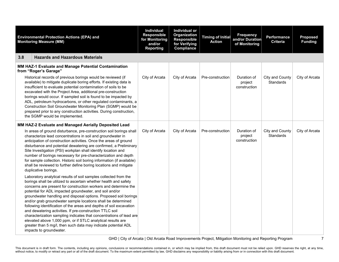|     | <b>Environmental Protection Actions (EPA) and</b><br><b>Monitoring Measure (MM)</b>                                                                                                                                                                                                                                                                                                                                                                                                                                                                                                                                                                                                                                                                                          | Individual<br><b>Responsible</b><br>for Monitoring<br>and/or<br><b>Reporting</b> | Individual or<br>Organization<br><b>Responsible</b><br>for Verifying<br>Compliance | Timing of Initial<br><b>Action</b> | <b>Frequency</b><br>and/or Duration<br>of Monitoring | <b>Performance</b><br><b>Criteria</b> | <b>Proposed</b><br><b>Funding</b> |
|-----|------------------------------------------------------------------------------------------------------------------------------------------------------------------------------------------------------------------------------------------------------------------------------------------------------------------------------------------------------------------------------------------------------------------------------------------------------------------------------------------------------------------------------------------------------------------------------------------------------------------------------------------------------------------------------------------------------------------------------------------------------------------------------|----------------------------------------------------------------------------------|------------------------------------------------------------------------------------|------------------------------------|------------------------------------------------------|---------------------------------------|-----------------------------------|
| 3.8 | <b>Hazards and Hazardous Materials</b>                                                                                                                                                                                                                                                                                                                                                                                                                                                                                                                                                                                                                                                                                                                                       |                                                                                  |                                                                                    |                                    |                                                      |                                       |                                   |
|     | MM HAZ-1 Evaluate and Manage Potential Contamination<br>from "Roger's Garage"                                                                                                                                                                                                                                                                                                                                                                                                                                                                                                                                                                                                                                                                                                |                                                                                  |                                                                                    |                                    |                                                      |                                       |                                   |
|     | Historical records of previous borings would be reviewed (if<br>available) to mitigate duplicate boring efforts. If existing data is<br>insufficient to evaluate potential contamination of soils to be<br>excavated with the Project Area, additional pre-construction<br>borings would occur. If sampled soil is found to be impacted by<br>ADL, petroleum hydrocarbons, or other regulated contaminants, a<br>Construction Soil Groundwater Monitoring Plan (SGMP) would be<br>prepared prior to any construction activities. During construction,<br>the SGMP would be implemented.                                                                                                                                                                                      | City of Arcata                                                                   | City of Arcata                                                                     | Pre-construction                   | Duration of<br>project<br>construction               | City and County<br><b>Standards</b>   | City of Arcata                    |
|     | MM HAZ-2 Evaluate and Managed Aerially Deposited Lead                                                                                                                                                                                                                                                                                                                                                                                                                                                                                                                                                                                                                                                                                                                        |                                                                                  |                                                                                    |                                    |                                                      |                                       |                                   |
|     | In areas of ground disturbance, pre-construction soil borings shall<br>characterize lead concentrations in soil and groundwater in<br>anticipation of construction activities. Once the areas of ground<br>disturbance and potential dewatering are confirmed, a Preliminary<br>Site Investigation (PSI) workplan shall identify location and<br>number of borings necessary for pre-characterization and depth<br>for sample collection. Historic soil boring information (if available)<br>shall be reviewed to further define boring locations and mitigate<br>duplicative borings.                                                                                                                                                                                       | City of Arcata                                                                   | City of Arcata                                                                     | Pre-construction                   | Duration of<br>project<br>construction               | City and County<br><b>Standards</b>   | City of Arcata                    |
|     | Laboratory analytical results of soil samples collected from the<br>borings shall be utilized to ascertain whether health and safety<br>concerns are present for construction workers and determine the<br>potential for ADL impacted groundwater, and soil and/or<br>groundwater handling and disposal options. Proposed soil borings<br>and/or grab groundwater sample locations shall be determined<br>following identification of the areas and depths of soil excavation<br>and dewatering activities. If pre-construction TTLC soil<br>characterization sampling indicates that concentrations of lead are<br>elevated above 1,000 ppm, or if STLC analytical results are<br>greater than 5 mg/l, then such data may indicate potential ADL<br>impacts to groundwater. |                                                                                  |                                                                                    |                                    |                                                      |                                       |                                   |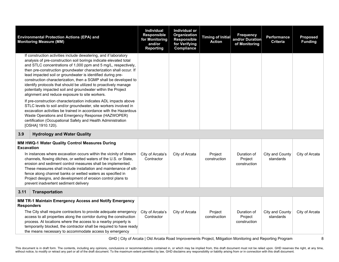|                   | <b>Environmental Protection Actions (EPA) and</b><br><b>Monitoring Measure (MM)</b>                                                                                                                                                                                                                                                                                                                                                                                                                                                                                                                                                                                                                                                            | Individual<br><b>Responsible</b><br>for Monitoring<br>and/or<br><b>Reporting</b> | Individual or<br>Organization<br><b>Responsible</b><br>for Verifying<br>Compliance | <b>Timing of Initial</b><br><b>Action</b> | <b>Frequency</b><br>and/or Duration<br>of Monitoring | Performance<br><b>Criteria</b> | <b>Proposed</b><br><b>Funding</b> |
|-------------------|------------------------------------------------------------------------------------------------------------------------------------------------------------------------------------------------------------------------------------------------------------------------------------------------------------------------------------------------------------------------------------------------------------------------------------------------------------------------------------------------------------------------------------------------------------------------------------------------------------------------------------------------------------------------------------------------------------------------------------------------|----------------------------------------------------------------------------------|------------------------------------------------------------------------------------|-------------------------------------------|------------------------------------------------------|--------------------------------|-----------------------------------|
|                   | If construction activities include dewatering, and if laboratory<br>analysis of pre-construction soil borings indicate elevated total<br>and STLC concentrations of 1,000 ppm and 5 mg/L, respectively,<br>then pre-construction groundwater characterization shall occur. If<br>lead impacted soil or groundwater is identified during pre-<br>construction characterization, then a SGMP shall be developed to<br>identify protocols that should be utilized to proactively manage<br>potentially impacted soil and groundwater within the Project<br>alignment and reduce exposure to site workers.<br>If pre-construction characterization indicates ADL impacts above<br>STLC levels to soil and/or groundwater, site workers involved in |                                                                                  |                                                                                    |                                           |                                                      |                                |                                   |
|                   | excavation activities be trained in accordance with the Hazardous<br>Waste Operations and Emergency Response (HAZWOPER)<br>certification (Occupational Safety and Health Administration<br>[OSHA] 1910.120).                                                                                                                                                                                                                                                                                                                                                                                                                                                                                                                                   |                                                                                  |                                                                                    |                                           |                                                      |                                |                                   |
| 3.9               | <b>Hydrology and Water Quality</b>                                                                                                                                                                                                                                                                                                                                                                                                                                                                                                                                                                                                                                                                                                             |                                                                                  |                                                                                    |                                           |                                                      |                                |                                   |
| <b>Excavation</b> | MM HWQ-1 Water Quality Control Measures During                                                                                                                                                                                                                                                                                                                                                                                                                                                                                                                                                                                                                                                                                                 |                                                                                  |                                                                                    |                                           |                                                      |                                |                                   |
|                   | In instances where excavation occurs within the vicinity of stream<br>channels, flowing ditches, or wetted waters of the U.S. or State,<br>erosion and sediment control measures shall be implemented.<br>These measures shall include installation and maintenance of silt-<br>fence along channel banks or wetted waters as specified in<br>Project designs, and development of erosion control plans to<br>prevent inadvertent sediment delivery                                                                                                                                                                                                                                                                                            | City of Arcata's<br>Contractor                                                   | City of Arcata                                                                     | Project<br>construction                   | Duration of<br>Project<br>construction               | City and County<br>standards   | City of Arcata                    |
| 3.11              | <b>Transportation</b>                                                                                                                                                                                                                                                                                                                                                                                                                                                                                                                                                                                                                                                                                                                          |                                                                                  |                                                                                    |                                           |                                                      |                                |                                   |
| <b>Responders</b> | MM TR-1 Maintain Emergency Access and Notify Emergency<br>The City shall require contractors to provide adequate emergency<br>access to all properties along the corridor during the construction<br>process. At locations where the access to a nearby property is<br>temporarily blocked, the contractor shall be required to have ready<br>the means necessary to accommodate access by emergency                                                                                                                                                                                                                                                                                                                                           | City of Arcata's<br>Contractor                                                   | City of Arcata                                                                     | Project<br>construction                   | Duration of<br>Project<br>construction               | City and County<br>standards   | City of Arcata                    |